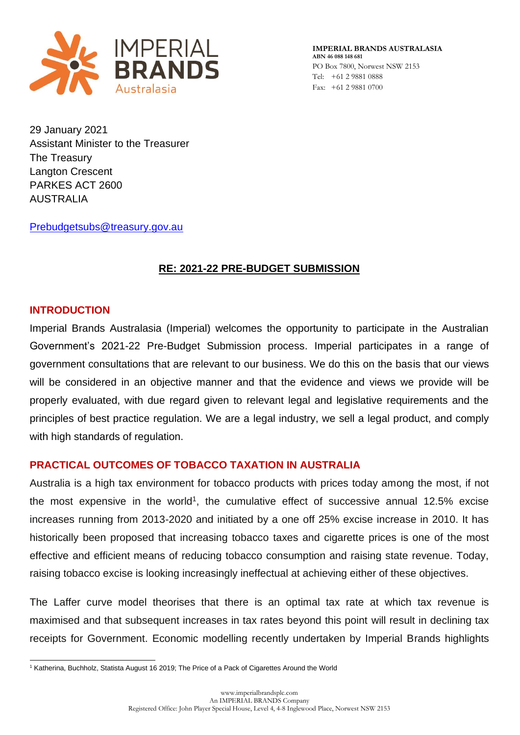

29 January 2021 Assistant Minister to the Treasurer The Treasury Langton Crescent PARKES ACT 2600 AUSTRALIA

[Prebudgetsubs@treasury.gov.au](mailto:Prebudgetsubs@treasury.gov.au)

# **RE: 2021-22 PRE-BUDGET SUBMISSION**

# **INTRODUCTION**

Imperial Brands Australasia (Imperial) welcomes the opportunity to participate in the Australian Government's 2021-22 Pre-Budget Submission process. Imperial participates in a range of government consultations that are relevant to our business. We do this on the basis that our views will be considered in an objective manner and that the evidence and views we provide will be properly evaluated, with due regard given to relevant legal and legislative requirements and the principles of best practice regulation. We are a legal industry, we sell a legal product, and comply with high standards of regulation.

# **PRACTICAL OUTCOMES OF TOBACCO TAXATION IN AUSTRALIA**

Australia is a high tax environment for tobacco products with prices today among the most, if not the most expensive in the world<sup>1</sup>, the cumulative effect of successive annual 12.5% excise increases running from 2013-2020 and initiated by a one off 25% excise increase in 2010. It has historically been proposed that increasing tobacco taxes and cigarette prices is one of the most effective and efficient means of reducing tobacco consumption and raising state revenue. Today, raising tobacco excise is looking increasingly ineffectual at achieving either of these objectives.

The Laffer curve model theorises that there is an optimal tax rate at which tax revenue is maximised and that subsequent increases in tax rates beyond this point will result in declining tax receipts for Government. Economic modelling recently undertaken by Imperial Brands highlights

<sup>&</sup>lt;sup>1</sup> Katherina, Buchholz, Statista August 16 2019; The Price of a Pack of Cigarettes Around the World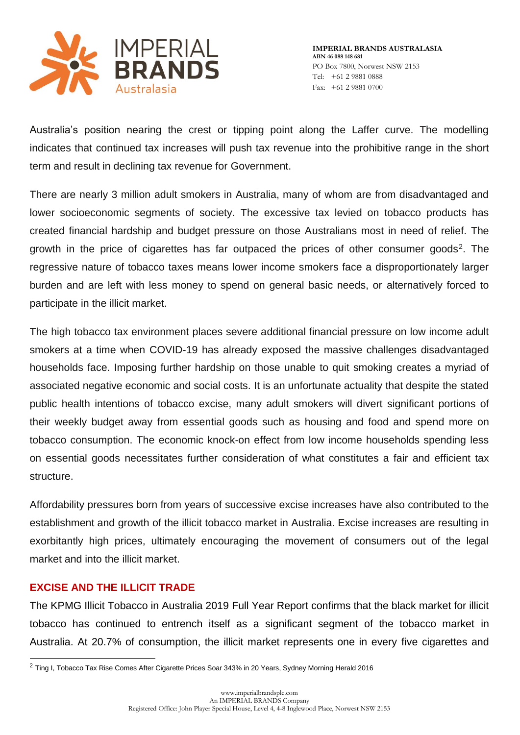

Australia's position nearing the crest or tipping point along the Laffer curve. The modelling indicates that continued tax increases will push tax revenue into the prohibitive range in the short term and result in declining tax revenue for Government.

There are nearly 3 million adult smokers in Australia, many of whom are from disadvantaged and lower socioeconomic segments of society. The excessive tax levied on tobacco products has created financial hardship and budget pressure on those Australians most in need of relief. The growth in the price of cigarettes has far outpaced the prices of other consumer goods<sup>2</sup>. The regressive nature of tobacco taxes means lower income smokers face a disproportionately larger burden and are left with less money to spend on general basic needs, or alternatively forced to participate in the illicit market.

The high tobacco tax environment places severe additional financial pressure on low income adult smokers at a time when COVID-19 has already exposed the massive challenges disadvantaged households face. Imposing further hardship on those unable to quit smoking creates a myriad of associated negative economic and social costs. It is an unfortunate actuality that despite the stated public health intentions of tobacco excise, many adult smokers will divert significant portions of their weekly budget away from essential goods such as housing and food and spend more on tobacco consumption. The economic knock-on effect from low income households spending less on essential goods necessitates further consideration of what constitutes a fair and efficient tax structure.

Affordability pressures born from years of successive excise increases have also contributed to the establishment and growth of the illicit tobacco market in Australia. Excise increases are resulting in exorbitantly high prices, ultimately encouraging the movement of consumers out of the legal market and into the illicit market.

# **EXCISE AND THE ILLICIT TRADE**

The KPMG Illicit Tobacco in Australia 2019 Full Year Report confirms that the black market for illicit tobacco has continued to entrench itself as a significant segment of the tobacco market in Australia. At 20.7% of consumption, the illicit market represents one in every five cigarettes and

<sup>2</sup> Ting I, Tobacco Tax Rise Comes After Cigarette Prices Soar 343% in 20 Years, Sydney Morning Herald 2016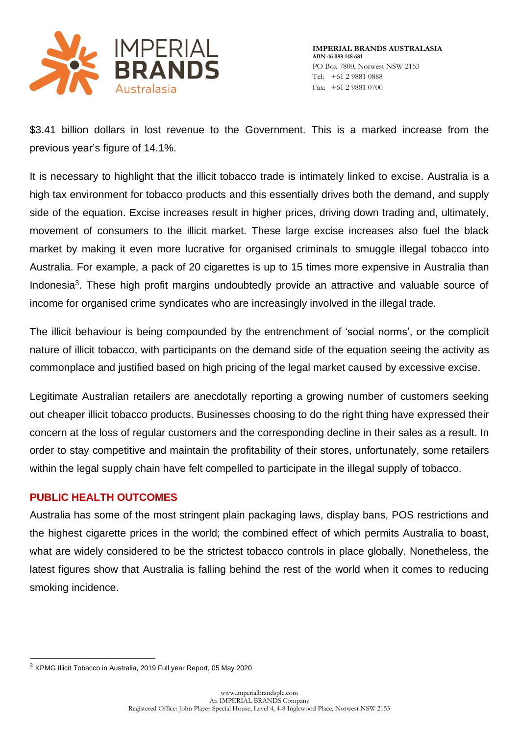

\$3.41 billion dollars in lost revenue to the Government. This is a marked increase from the previous year's figure of 14.1%.

It is necessary to highlight that the illicit tobacco trade is intimately linked to excise. Australia is a high tax environment for tobacco products and this essentially drives both the demand, and supply side of the equation. Excise increases result in higher prices, driving down trading and, ultimately, movement of consumers to the illicit market. These large excise increases also fuel the black market by making it even more lucrative for organised criminals to smuggle illegal tobacco into Australia. For example, a pack of 20 cigarettes is up to 15 times more expensive in Australia than Indonesia<sup>3</sup>. These high profit margins undoubtedly provide an attractive and valuable source of income for organised crime syndicates who are increasingly involved in the illegal trade.

The illicit behaviour is being compounded by the entrenchment of 'social norms', or the complicit nature of illicit tobacco, with participants on the demand side of the equation seeing the activity as commonplace and justified based on high pricing of the legal market caused by excessive excise.

Legitimate Australian retailers are anecdotally reporting a growing number of customers seeking out cheaper illicit tobacco products. Businesses choosing to do the right thing have expressed their concern at the loss of regular customers and the corresponding decline in their sales as a result. In order to stay competitive and maintain the profitability of their stores, unfortunately, some retailers within the legal supply chain have felt compelled to participate in the illegal supply of tobacco.

### **PUBLIC HEALTH OUTCOMES**

Australia has some of the most stringent plain packaging laws, display bans, POS restrictions and the highest cigarette prices in the world; the combined effect of which permits Australia to boast, what are widely considered to be the strictest tobacco controls in place globally. Nonetheless, the latest figures show that Australia is falling behind the rest of the world when it comes to reducing smoking incidence.

<sup>3</sup> KPMG Illicit Tobacco in Australia, 2019 Full year Report, 05 May 2020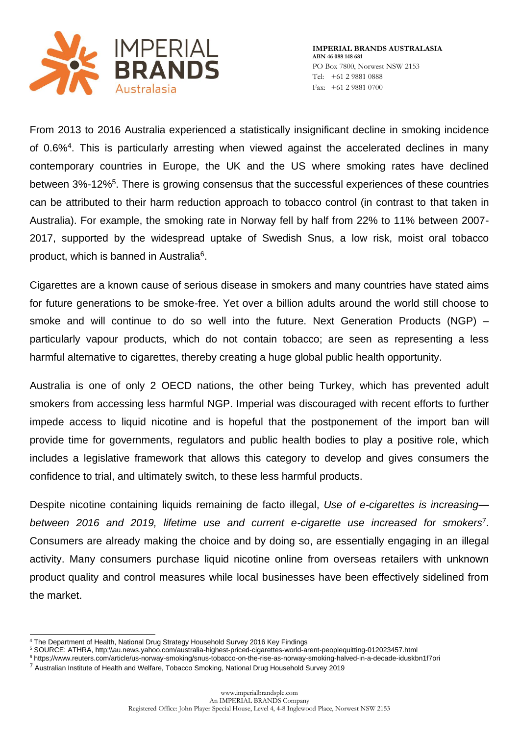

From 2013 to 2016 Australia experienced a statistically insignificant decline in smoking incidence of 0.6%<sup>4</sup>. This is particularly arresting when viewed against the accelerated declines in many contemporary countries in Europe, the UK and the US where smoking rates have declined between 3%-12%<sup>5</sup>. There is growing consensus that the successful experiences of these countries can be attributed to their harm reduction approach to tobacco control (in contrast to that taken in Australia). For example, the smoking rate in Norway fell by half from 22% to 11% between 2007- 2017, supported by the widespread uptake of Swedish Snus, a low risk, moist oral tobacco product, which is banned in Australia<sup>6</sup>.

Cigarettes are a known cause of serious disease in smokers and many countries have stated aims for future generations to be smoke-free. Yet over a billion adults around the world still choose to smoke and will continue to do so well into the future. Next Generation Products (NGP) – particularly vapour products, which do not contain tobacco; are seen as representing a less harmful alternative to cigarettes, thereby creating a huge global public health opportunity.

Australia is one of only 2 OECD nations, the other being Turkey, which has prevented adult smokers from accessing less harmful NGP. Imperial was discouraged with recent efforts to further impede access to liquid nicotine and is hopeful that the postponement of the import ban will provide time for governments, regulators and public health bodies to play a positive role, which includes a legislative framework that allows this category to develop and gives consumers the confidence to trial, and ultimately switch, to these less harmful products.

Despite nicotine containing liquids remaining de facto illegal, *Use of e-cigarettes is increasing between 2016 and 2019, lifetime use and current e-cigarette use increased for smokers*<sup>7</sup> . Consumers are already making the choice and by doing so, are essentially engaging in an illegal activity. Many consumers purchase liquid nicotine online from overseas retailers with unknown product quality and control measures while local businesses have been effectively sidelined from the market.

<sup>4</sup> The Department of Health, National Drug Strategy Household Survey 2016 Key Findings

<sup>5</sup> SOURCE: ATHRA, http;\\au.news.yahoo.com/australia-highest-priced-cigarettes-world-arent-peoplequitting-012023457.html

<sup>6</sup> https;//www.reuters.com/article/us-norway-smoking/snus-tobacco-on-the-rise-as-norway-smoking-halved-in-a-decade-iduskbn1f7ori

<sup>7</sup> Australian Institute of Health and Welfare, Tobacco Smoking, National Drug Household Survey 2019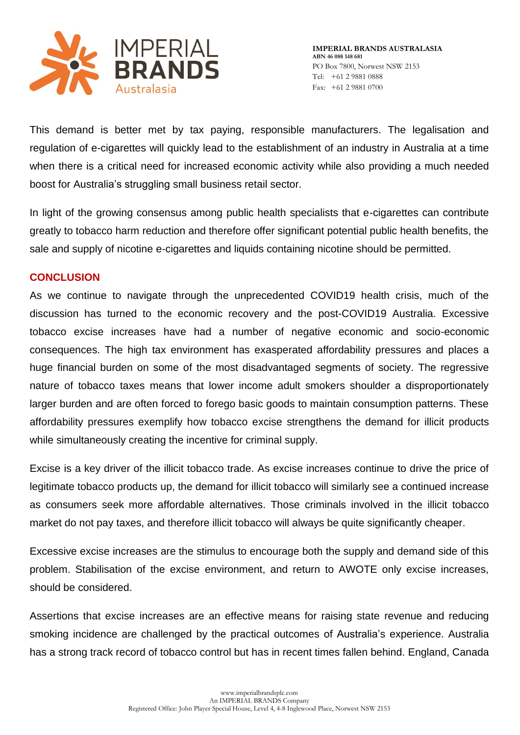

This demand is better met by tax paying, responsible manufacturers. The legalisation and regulation of e-cigarettes will quickly lead to the establishment of an industry in Australia at a time when there is a critical need for increased economic activity while also providing a much needed boost for Australia's struggling small business retail sector.

In light of the growing consensus among public health specialists that e-cigarettes can contribute greatly to tobacco harm reduction and therefore offer significant potential public health benefits, the sale and supply of nicotine e-cigarettes and liquids containing nicotine should be permitted.

### **CONCLUSION**

As we continue to navigate through the unprecedented COVID19 health crisis, much of the discussion has turned to the economic recovery and the post-COVID19 Australia. Excessive tobacco excise increases have had a number of negative economic and socio-economic consequences. The high tax environment has exasperated affordability pressures and places a huge financial burden on some of the most disadvantaged segments of society. The regressive nature of tobacco taxes means that lower income adult smokers shoulder a disproportionately larger burden and are often forced to forego basic goods to maintain consumption patterns. These affordability pressures exemplify how tobacco excise strengthens the demand for illicit products while simultaneously creating the incentive for criminal supply.

Excise is a key driver of the illicit tobacco trade. As excise increases continue to drive the price of legitimate tobacco products up, the demand for illicit tobacco will similarly see a continued increase as consumers seek more affordable alternatives. Those criminals involved in the illicit tobacco market do not pay taxes, and therefore illicit tobacco will always be quite significantly cheaper.

Excessive excise increases are the stimulus to encourage both the supply and demand side of this problem. Stabilisation of the excise environment, and return to AWOTE only excise increases, should be considered.

Assertions that excise increases are an effective means for raising state revenue and reducing smoking incidence are challenged by the practical outcomes of Australia's experience. Australia has a strong track record of tobacco control but has in recent times fallen behind. England, Canada